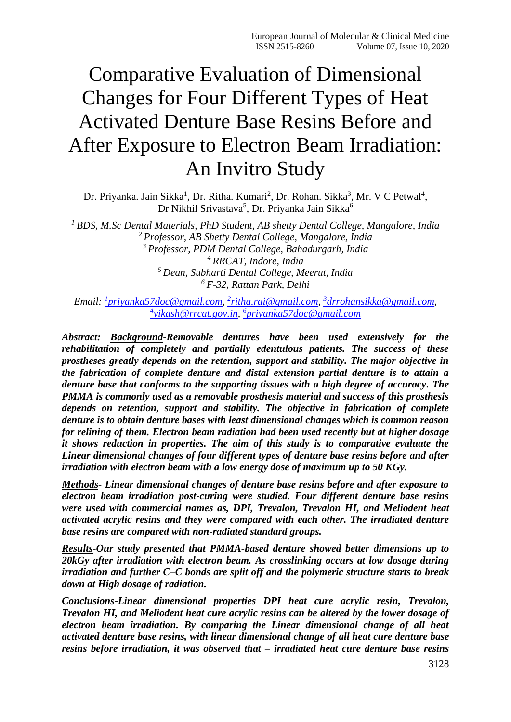# Comparative Evaluation of Dimensional Changes for Four Different Types of Heat Activated Denture Base Resins Before and After Exposure to Electron Beam Irradiation: An Invitro Study

Dr. Priyanka. Jain Sikka<sup>1</sup>, Dr. Ritha. Kumari<sup>2</sup>, Dr. Rohan. Sikka<sup>3</sup>, Mr. V C Petwal<sup>4</sup>, Dr Nikhil Srivastava<sup>5</sup>, Dr. Priyanka Jain Sikka<sup>6</sup>

 *BDS, M.Sc Dental Materials, PhD Student, AB shetty Dental College, Mangalore, India Professor, AB Shetty Dental College, Mangalore, India Professor, PDM Dental College, Bahadurgarh, India RRCAT, Indore, India Dean, Subharti Dental College, Meerut, India F-32, Rattan Park, Delhi*

*Email: <sup>1</sup> [priyanka57doc@gmail.com,](mailto:1priyanka57doc@gmail.com) 2 [ritha.rai@gmail.com,](mailto:2ritha.rai@gmail.com) 3 [drrohansikka@gmail.com,](mailto:3drrohansikka@gmail.com) 4 [vikash@rrcat.gov.in,](mailto:4vikash@rrcat.gov.in) 6 [priyanka57doc@gmail.com](mailto:6priyanka57doc@gmail.com)*

*Abstract: Background-Removable dentures have been used extensively for the rehabilitation of completely and partially edentulous patients. The success of these prostheses greatly depends on the retention, support and stability. The major objective in the fabrication of complete denture and distal extension partial denture is to attain a denture base that conforms to the supporting tissues with a high degree of accuracy. The PMMA is commonly used as a removable prosthesis material and success of this prosthesis depends on retention, support and stability. The objective in fabrication of complete denture is to obtain denture bases with least dimensional changes which is common reason for relining of them. Electron beam radiation had been used recently but at higher dosage it shows reduction in properties. The aim of this study is to comparative evaluate the Linear dimensional changes of four different types of denture base resins before and after irradiation with electron beam with a low energy dose of maximum up to 50 KGy.*

*Methods- Linear dimensional changes of denture base resins before and after exposure to electron beam irradiation post-curing were studied. Four different denture base resins were used with commercial names as, DPI, Trevalon, Trevalon HI, and Meliodent heat activated acrylic resins and they were compared with each other. The irradiated denture base resins are compared with non-radiated standard groups.*

*Results-Our study presented that PMMA-based denture showed better dimensions up to 20kGy after irradiation with electron beam. As crosslinking occurs at low dosage during irradiation and further C–C bonds are split off and the polymeric structure starts to break down at High dosage of radiation.*

*Conclusions-Linear dimensional properties DPI heat cure acrylic resin, Trevalon, Trevalon HI, and Meliodent heat cure acrylic resins can be altered by the lower dosage of electron beam irradiation. By comparing the Linear dimensional change of all heat activated denture base resins, with linear dimensional change of all heat cure denture base resins before irradiation, it was observed that – irradiated heat cure denture base resins*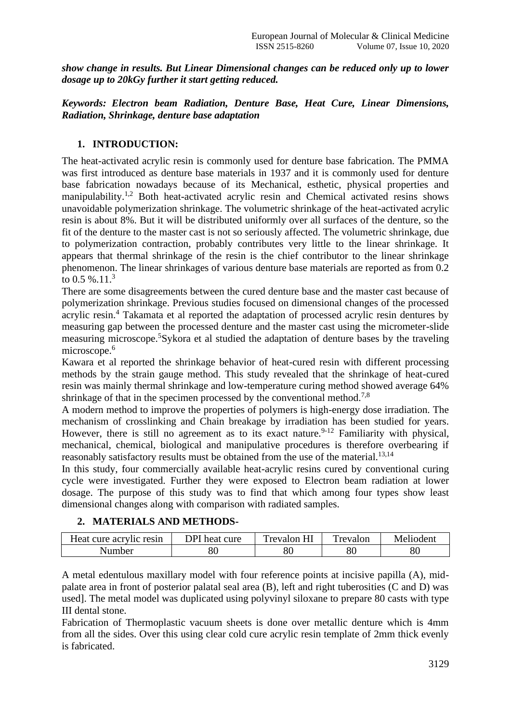*show change in results. But Linear Dimensional changes can be reduced only up to lower dosage up to 20kGy further it start getting reduced.*

# *Keywords: Electron beam Radiation, Denture Base, Heat Cure, Linear Dimensions, Radiation, Shrinkage, denture base adaptation*

# **1. INTRODUCTION:**

The heat-activated acrylic resin is commonly used for denture base fabrication. The PMMA was first introduced as denture base materials in 1937 and it is commonly used for denture base fabrication nowadays because of its Mechanical, esthetic, physical properties and manipulability.<sup>1,2</sup> Both heat-activated acrylic resin and Chemical activated resins shows unavoidable polymerization shrinkage. The volumetric shrinkage of the heat-activated acrylic resin is about 8%. But it will be distributed uniformly over all surfaces of the denture, so the fit of the denture to the master cast is not so seriously affected. The volumetric shrinkage, due to polymerization contraction, probably contributes very little to the linear shrinkage. It appears that thermal shrinkage of the resin is the chief contributor to the linear shrinkage phenomenon. The linear shrinkages of various denture base materials are reported as from 0.2 to 0.5 %.11. $3$ 

There are some disagreements between the cured denture base and the master cast because of polymerization shrinkage. Previous studies focused on dimensional changes of the processed acrylic resin.<sup>4</sup> Takamata et al reported the adaptation of processed acrylic resin dentures by measuring gap between the processed denture and the master cast using the micrometer-slide measuring microscope.<sup>5</sup>Sykora et al studied the adaptation of denture bases by the traveling microscope.<sup>6</sup>

Kawara et al reported the shrinkage behavior of heat-cured resin with different processing methods by the strain gauge method. This study revealed that the shrinkage of heat-cured resin was mainly thermal shrinkage and low-temperature curing method showed average 64% shrinkage of that in the specimen processed by the conventional method.<sup>7,8</sup>

A modern method to improve the properties of polymers is high-energy dose irradiation. The mechanism of crosslinking and Chain breakage by irradiation has been studied for years. However, there is still no agreement as to its exact nature.<sup>9-12</sup> Familiarity with physical, mechanical, chemical, biological and manipulative procedures is therefore overbearing if reasonably satisfactory results must be obtained from the use of the material.<sup>13,14</sup>

In this study, four commercially available heat-acrylic resins cured by conventional curing cycle were investigated. Further they were exposed to Electron beam radiation at lower dosage. The purpose of this study was to find that which among four types show least dimensional changes along with comparison with radiated samples.

# **2. MATERIALS AND METHODS-**

| Heat cure acrylic resin | DPI heat cure | $T_{revalon}$<br>HI | Trevalon | Melioden |  |
|-------------------------|---------------|---------------------|----------|----------|--|
| Number                  | N             | 80                  | 80       | 80       |  |

A metal edentulous maxillary model with four reference points at incisive papilla (A), midpalate area in front of posterior palatal seal area (B), left and right tuberosities (C and D) was used]. The metal model was duplicated using polyvinyl siloxane to prepare 80 casts with type III dental stone.

Fabrication of Thermoplastic vacuum sheets is done over metallic denture which is 4mm from all the sides. Over this using clear cold cure acrylic resin template of 2mm thick evenly is fabricated.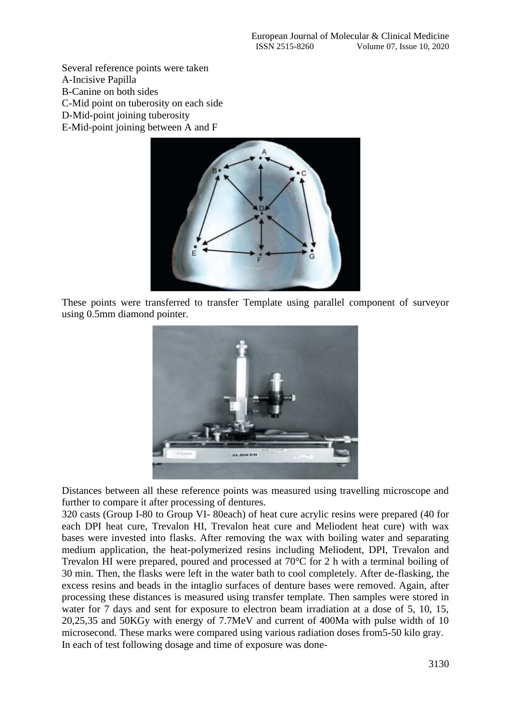Several reference points were taken A-Incisive Papilla B-Canine on both sides C-Mid point on tuberosity on each side D-Mid-point joining tuberosity

E-Mid-point joining between A and F



These points were transferred to transfer Template using parallel component of surveyor using 0.5mm diamond pointer.



Distances between all these reference points was measured using travelling microscope and further to compare it after processing of dentures.

320 casts (Group I-80 to Group VI- 80each) of heat cure acrylic resins were prepared (40 for each DPI heat cure, Trevalon HI, Trevalon heat cure and Meliodent heat cure) with wax bases were invested into flasks. After removing the wax with boiling water and separating medium application, the heat-polymerized resins including Meliodent, DPI, Trevalon and Trevalon HI were prepared, poured and processed at 70°C for 2 h with a terminal boiling of 30 min. Then, the flasks were left in the water bath to cool completely. After de-flasking, the excess resins and beads in the intaglio surfaces of denture bases were removed. Again, after processing these distances is measured using transfer template. Then samples were stored in water for 7 days and sent for exposure to electron beam irradiation at a dose of 5, 10, 15, 20,25,35 and 50KGy with energy of 7.7MeV and current of 400Ma with pulse width of 10 microsecond. These marks were compared using various radiation doses from5-50 kilo gray. In each of test following dosage and time of exposure was done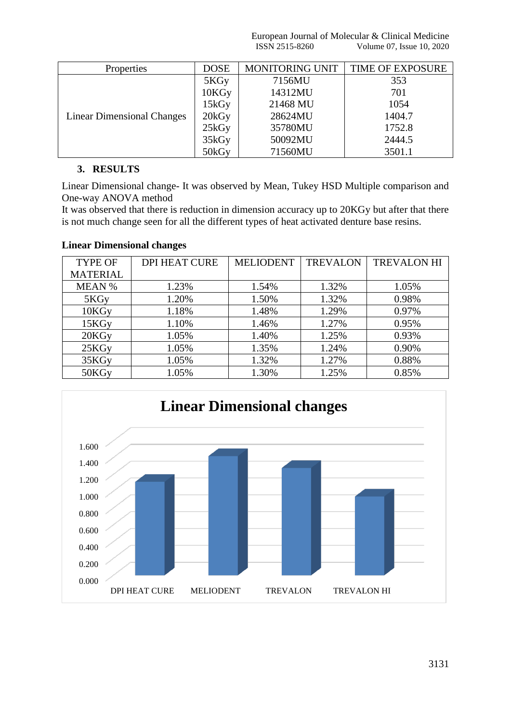European Journal of Molecular & Clinical Medicine ISSN 2515-8260 Volume 07, Issue 10, 2020

| <b>Properties</b>                 | <b>DOSE</b> | <b>MONITORING UNIT</b> | <b>TIME OF EXPOSURE</b> |
|-----------------------------------|-------------|------------------------|-------------------------|
| <b>Linear Dimensional Changes</b> | 5KGy        | 7156MU                 | 353                     |
|                                   | 10KGy       | 14312MU                | 701                     |
|                                   | $15k$ Gy    | 21468 MU               | 1054                    |
|                                   | 20kGy       | 28624MU                | 1404.7                  |
|                                   | $25k$ Gy    | 35780MU                | 1752.8                  |
|                                   | 35kGy       | 50092MU                | 2444.5                  |
|                                   | 50kGy       | 71560MU                | 3501.1                  |

#### **3. RESULTS**

Linear Dimensional change- It was observed by Mean, Tukey HSD Multiple comparison and One-way ANOVA method

It was observed that there is reduction in dimension accuracy up to 20KGy but after that there is not much change seen for all the different types of heat activated denture base resins.

## **Linear Dimensional changes**

| <b>TYPE OF</b>    | <b>DPI HEAT CURE</b> | <b>MELIODENT</b> | <b>TREVALON</b> | <b>TREVALON HI</b> |
|-------------------|----------------------|------------------|-----------------|--------------------|
| <b>MATERIAL</b>   |                      |                  |                 |                    |
| <b>MEAN %</b>     | 1.23%                | 1.54%            | 1.32%           | 1.05%              |
| 5KGy              | 1.20%                | 1.50%            | 1.32%           | 0.98%              |
| 10KGy             | 1.18%                | 1.48%            | 1.29%           | 0.97%              |
| 15KGy             | 1.10%                | 1.46%            | 1.27%           | 0.95%              |
| 20KGy             | 1.05%                | 1.40%            | 1.25%           | 0.93%              |
| 25KG <sub>V</sub> | 1.05%                | 1.35%            | 1.24%           | 0.90%              |
| 35KGy             | 1.05%                | 1.32%            | 1.27%           | 0.88%              |
| 50KG <sub>v</sub> | 1.05%                | 1.30%            | 1.25%           | 0.85%              |

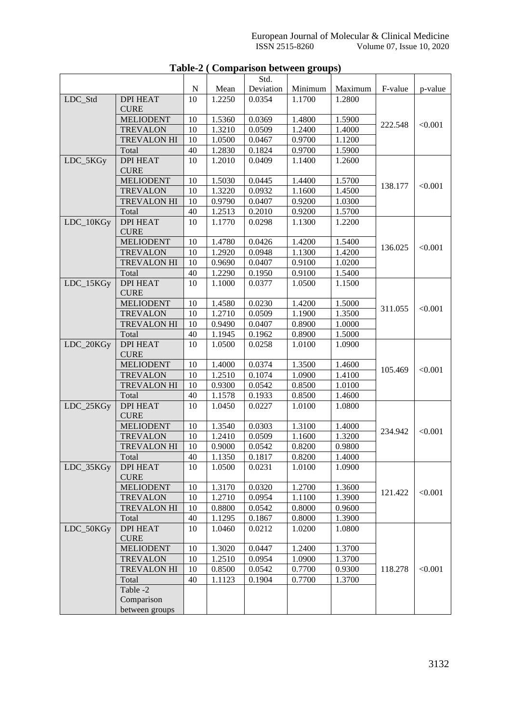|           |                                |    |        | Std.      |         |         |         |         |
|-----------|--------------------------------|----|--------|-----------|---------|---------|---------|---------|
|           |                                | N  | Mean   | Deviation | Minimum | Maximum | F-value | p-value |
| LDC_Std   | <b>DPI HEAT</b>                | 10 | 1.2250 | 0.0354    | 1.1700  | 1.2800  |         |         |
|           | <b>CURE</b>                    |    |        |           |         |         |         |         |
|           | <b>MELIODENT</b>               | 10 | 1.5360 | 0.0369    | 1.4800  | 1.5900  | 222.548 | < 0.001 |
|           | <b>TREVALON</b>                | 10 | 1.3210 | 0.0509    | 1.2400  | 1.4000  |         |         |
|           | <b>TREVALON HI</b>             | 10 | 1.0500 | 0.0467    | 0.9700  | 1.1200  |         |         |
|           | Total                          | 40 | 1.2830 | 0.1824    | 0.9700  | 1.5900  |         |         |
| LDC_5KGy  | <b>DPI HEAT</b>                | 10 | 1.2010 | 0.0409    | 1.1400  | 1.2600  |         |         |
|           | <b>CURE</b>                    |    |        |           |         |         |         |         |
|           | <b>MELIODENT</b>               | 10 | 1.5030 | 0.0445    | 1.4400  | 1.5700  | 138.177 | < 0.001 |
|           | <b>TREVALON</b>                | 10 | 1.3220 | 0.0932    | 1.1600  | 1.4500  |         |         |
|           | <b>TREVALON HI</b>             | 10 | 0.9790 | 0.0407    | 0.9200  | 1.0300  |         |         |
|           | Total                          | 40 | 1.2513 | 0.2010    | 0.9200  | 1.5700  |         |         |
| LDC_10KGy | <b>DPI HEAT</b><br><b>CURE</b> | 10 | 1.1770 | 0.0298    | 1.1300  | 1.2200  |         |         |
|           | <b>MELIODENT</b>               | 10 | 1.4780 | 0.0426    | 1.4200  | 1.5400  |         |         |
|           | <b>TREVALON</b>                | 10 | 1.2920 | 0.0948    | 1.1300  | 1.4200  | 136.025 | < 0.001 |
|           | <b>TREVALON HI</b>             | 10 | 0.9690 | 0.0407    | 0.9100  | 1.0200  |         |         |
|           | Total                          | 40 | 1.2290 | 0.1950    | 0.9100  | 1.5400  |         |         |
| LDC_15KGy | <b>DPI HEAT</b>                | 10 | 1.1000 | 0.0377    | 1.0500  | 1.1500  |         |         |
|           | <b>CURE</b>                    |    |        |           |         |         |         |         |
|           | <b>MELIODENT</b>               | 10 | 1.4580 | 0.0230    | 1.4200  | 1.5000  | 311.055 | < 0.001 |
|           | <b>TREVALON</b>                | 10 | 1.2710 | 0.0509    | 1.1900  | 1.3500  |         |         |
|           | <b>TREVALON HI</b>             | 10 | 0.9490 | 0.0407    | 0.8900  | 1.0000  |         |         |
|           | Total                          | 40 | 1.1945 | 0.1962    | 0.8900  | 1.5000  |         |         |
| LDC_20KGy | <b>DPI HEAT</b>                | 10 | 1.0500 | 0.0258    | 1.0100  | 1.0900  |         |         |
|           | <b>CURE</b>                    |    |        |           |         |         |         |         |
|           | <b>MELIODENT</b>               | 10 | 1.4000 | 0.0374    | 1.3500  | 1.4600  | 105.469 | < 0.001 |
|           | <b>TREVALON</b>                | 10 | 1.2510 | 0.1074    | 1.0900  | 1.4100  |         |         |
|           | <b>TREVALON HI</b>             | 10 | 0.9300 | 0.0542    | 0.8500  | 1.0100  |         |         |
|           | Total                          | 40 | 1.1578 | 0.1933    | 0.8500  | 1.4600  |         |         |
| LDC_25KGy | <b>DPI HEAT</b><br><b>CURE</b> | 10 | 1.0450 | 0.0227    | 1.0100  | 1.0800  |         |         |
|           | <b>MELIODENT</b>               | 10 | 1.3540 | 0.0303    | 1.3100  | 1.4000  |         |         |
|           | <b>TREVALON</b>                | 10 | 1.2410 | 0.0509    | 1.1600  | 1.3200  | 234.942 | < 0.001 |
|           | <b>TREVALON HI</b>             | 10 | 0.9000 | 0.0542    | 0.8200  | 0.9800  |         |         |
|           | Total                          | 40 | 1.1350 | 0.1817    | 0.8200  | 1.4000  |         |         |
| LDC_35KGy | <b>DPI HEAT</b>                | 10 | 1.0500 | 0.0231    | 1.0100  | 1.0900  |         |         |
|           | <b>CURE</b>                    |    |        |           |         |         |         |         |
|           | <b>MELIODENT</b>               | 10 | 1.3170 | 0.0320    | 1.2700  | 1.3600  | 121.422 | < 0.001 |
|           | <b>TREVALON</b>                | 10 | 1.2710 | 0.0954    | 1.1100  | 1.3900  |         |         |
|           | TREVALON HI                    | 10 | 0.8800 | 0.0542    | 0.8000  | 0.9600  |         |         |
|           | Total                          | 40 | 1.1295 | 0.1867    | 0.8000  | 1.3900  |         |         |
| LDC_50KGy | <b>DPI HEAT</b>                | 10 | 1.0460 | 0.0212    | 1.0200  | 1.0800  |         |         |
|           | <b>CURE</b>                    |    |        |           |         |         |         |         |
|           | <b>MELIODENT</b>               | 10 | 1.3020 | 0.0447    | 1.2400  | 1.3700  |         |         |
|           | <b>TREVALON</b>                | 10 | 1.2510 | 0.0954    | 1.0900  | 1.3700  |         |         |
|           | <b>TREVALON HI</b>             | 10 | 0.8500 | 0.0542    | 0.7700  | 0.9300  | 118.278 | < 0.001 |
|           | Total                          | 40 | 1.1123 | 0.1904    | 0.7700  | 1.3700  |         |         |
|           | Table -2                       |    |        |           |         |         |         |         |
|           | Comparison                     |    |        |           |         |         |         |         |
|           | between groups                 |    |        |           |         |         |         |         |

# **Table-2 ( Comparison between groups)**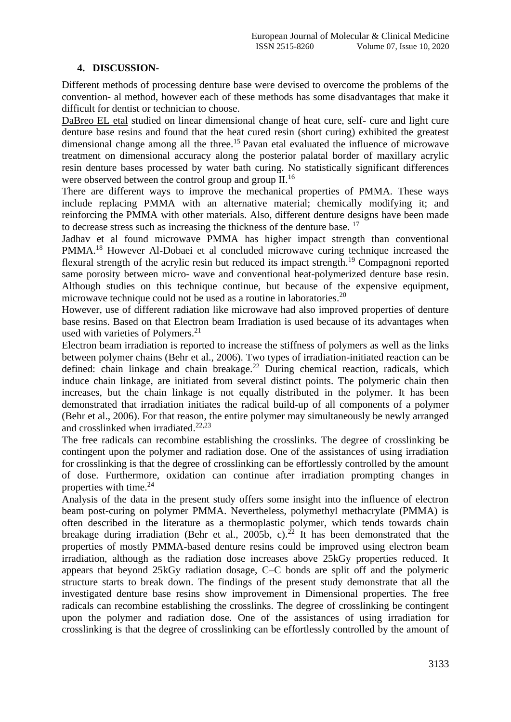## **4. DISCUSSION-**

Different methods of processing denture base were devised to overcome the problems of the convention- al method, however each of these methods has some disadvantages that make it difficult for dentist or technician to choose.

DaBreo EL etal studied on linear dimensional change of heat cure, self- cure and light cure denture base resins and found that the heat cured resin (short curing) exhibited the greatest dimensional change among all the three.<sup>15</sup> Pavan etal evaluated the influence of microwave treatment on dimensional accuracy along the posterior palatal border of maxillary acrylic resin denture bases processed by water bath curing. No statistically significant differences were observed between the control group and group II.<sup>16</sup>

There are different ways to improve the mechanical properties of PMMA. These ways include replacing PMMA with an alternative material; chemically modifying it; and reinforcing the PMMA with other materials. Also, different denture designs have been made to decrease stress such as increasing the thickness of the denture base.<sup>17</sup>

Jadhav et al found microwave PMMA has higher impact strength than conventional PMMA.<sup>18</sup> However Al-Dobaei et al concluded microwave curing technique increased the flexural strength of the acrylic resin but reduced its impact strength.<sup>19</sup> Compagnoni reported same porosity between micro- wave and conventional heat-polymerized denture base resin. Although studies on this technique continue, but because of the expensive equipment, microwave technique could not be used as a routine in laboratories.<sup>20</sup>

However, use of different radiation like microwave had also improved properties of denture base resins. Based on that Electron beam Irradiation is used because of its advantages when used with varieties of Polymers.<sup>21</sup>

Electron beam irradiation is reported to increase the stiffness of polymers as well as the links between polymer chains (Behr et al., 2006). Two types of irradiation-initiated reaction can be defined: chain linkage and chain breakage.<sup>22</sup> During chemical reaction, radicals, which induce chain linkage, are initiated from several distinct points. The polymeric chain then increases, but the chain linkage is not equally distributed in the polymer. It has been demonstrated that irradiation initiates the radical build-up of all components of a polymer (Behr et al., 2006). For that reason, the entire polymer may simultaneously be newly arranged and crosslinked when irradiated. $22,23$ 

The free radicals can recombine establishing the crosslinks. The degree of crosslinking be contingent upon the polymer and radiation dose. One of the assistances of using irradiation for crosslinking is that the degree of crosslinking can be effortlessly controlled by the amount of dose. Furthermore, oxidation can continue after irradiation prompting changes in properties with time. $24$ 

Analysis of the data in the present study offers some insight into the influence of electron beam post-curing on polymer PMMA. Nevertheless, polymethyl methacrylate (PMMA) is often described in the literature as a thermoplastic polymer, which tends towards chain breakage during irradiation (Behr et al., 2005b, c).<sup>22</sup> It has been demonstrated that the properties of mostly PMMA-based denture resins could be improved using electron beam irradiation, although as the radiation dose increases above 25kGy properties reduced. It appears that beyond 25kGy radiation dosage, C–C bonds are split off and the polymeric structure starts to break down. The findings of the present study demonstrate that all the investigated denture base resins show improvement in Dimensional properties. The free radicals can recombine establishing the crosslinks. The degree of crosslinking be contingent upon the polymer and radiation dose. One of the assistances of using irradiation for crosslinking is that the degree of crosslinking can be effortlessly controlled by the amount of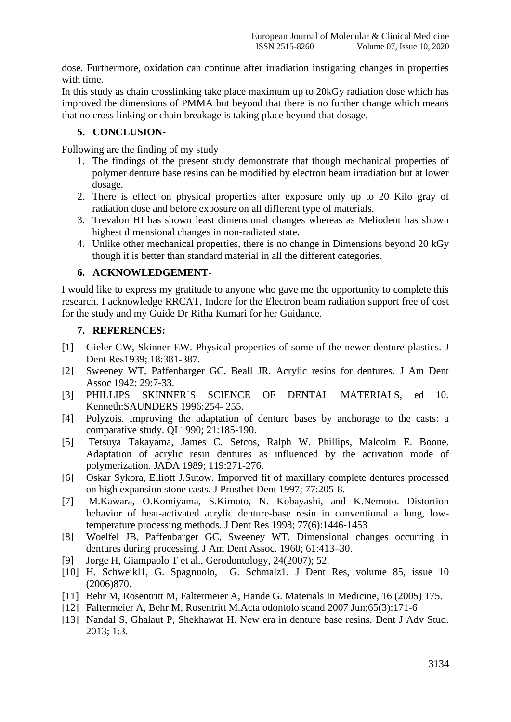dose. Furthermore, oxidation can continue after irradiation instigating changes in properties with time.

In this study as chain crosslinking take place maximum up to 20kGy radiation dose which has improved the dimensions of PMMA but beyond that there is no further change which means that no cross linking or chain breakage is taking place beyond that dosage.

# **5. CONCLUSION-**

Following are the finding of my study

- 1. The findings of the present study demonstrate that though mechanical properties of polymer denture base resins can be modified by electron beam irradiation but at lower dosage.
- 2. There is effect on physical properties after exposure only up to 20 Kilo gray of radiation dose and before exposure on all different type of materials.
- 3. Trevalon HI has shown least dimensional changes whereas as Meliodent has shown highest dimensional changes in non-radiated state.
- 4. Unlike other mechanical properties, there is no change in Dimensions beyond 20 kGy though it is better than standard material in all the different categories.

## **6. ACKNOWLEDGEMENT-**

I would like to express my gratitude to anyone who gave me the opportunity to complete this research. I acknowledge RRCAT, Indore for the Electron beam radiation support free of cost for the study and my Guide Dr Ritha Kumari for her Guidance.

## **7. REFERENCES:**

- [1] Gieler CW, Skinner EW. Physical properties of some of the newer denture plastics. J Dent Res1939; 18:381-387.
- [2] Sweeney WT, Paffenbarger GC, Beall JR. Acrylic resins for dentures. J Am Dent Assoc 1942; 29:7-33.
- [3] PHILLIPS SKINNER`S SCIENCE OF DENTAL MATERIALS, ed 10. Kenneth:SAUNDERS 1996:254- 255.
- [4] Polyzois. Improving the adaptation of denture bases by anchorage to the casts: a comparative study. QI 1990; 21:185-190.
- [5] Tetsuya Takayama, James C. Setcos, Ralph W. Phillips, Malcolm E. Boone. Adaptation of acrylic resin dentures as influenced by the activation mode of polymerization. JADA 1989; 119:271-276.
- [6] Oskar Sykora, Elliott J.Sutow. Imporved fit of maxillary complete dentures processed on high expansion stone casts. J Prosthet Dent 1997; 77:205-8.
- [7] M.Kawara, O.Komiyama, S.Kimoto, N. Kobayashi, and K.Nemoto. Distortion behavior of heat-activated acrylic denture-base resin in conventional a long, lowtemperature processing methods. J Dent Res 1998; 77(6):1446-1453
- [8] Woelfel JB, Paffenbarger GC, Sweeney WT. Dimensional changes occurring in dentures during processing. J Am Dent Assoc. 1960; 61:413–30.
- [9] Jorge H, Giampaolo T et al., Gerodontology, 24(2007); 52.
- [10] H. Schweikl1, G. Spagnuolo, G. Schmalz1. J Dent Res, volume 85, issue 10 (2006)870.
- [11] Behr M, Rosentritt M, Faltermeier A, Hande G. Materials In Medicine, 16 (2005) 175.
- [12] Faltermeier A, Behr M, Rosentritt M.Acta odontolo scand 2007 Jun;65(3):171-6
- [13] Nandal S, Ghalaut P, Shekhawat H. New era in denture base resins. Dent J Adv Stud. 2013; 1:3.